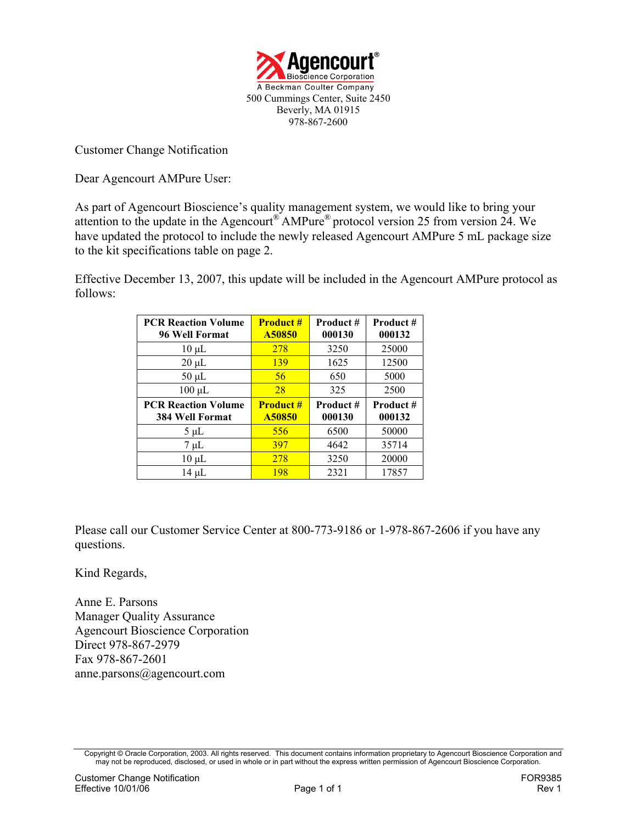

Customer Change Notification

Dear Agencourt AMPure User:

As part of Agencourt Bioscience's quality management system, we would like to bring your attention to the update in the Agencourt® AMPure® protocol version 25 from version 24. We have updated the protocol to include the newly released Agencourt AMPure 5 mL package size to the kit specifications table on page 2.

Effective December 13, 2007, this update will be included in the Agencourt AMPure protocol as follows:

| <b>PCR Reaction Volume</b><br>96 Well Format         | <b>Product#</b><br>A50850  | Product#<br>000130 | Product#<br>000132  |
|------------------------------------------------------|----------------------------|--------------------|---------------------|
| $10 \mu L$                                           | 278                        | 3250               | 25000               |
| $20 \mu L$                                           | 139                        | 1625               | 12500               |
| $50 \mu L$                                           | 56                         | 650                | 5000                |
| $100 \mu L$                                          | 28                         | 325                | 2500                |
|                                                      |                            |                    |                     |
| <b>PCR Reaction Volume</b><br><b>384 Well Format</b> | <b>Product #</b><br>A50850 | Product#<br>000130 | Product #<br>000132 |
| $5 \mu L$                                            | 556                        | 6500               | 50000               |
| $7 \mu L$                                            | 397                        | 4642               | 35714               |
| $10 \mu L$                                           | 278                        | 3250               | 20000               |

Please call our Customer Service Center at 800-773-9186 or 1-978-867-2606 if you have any questions.

Kind Regards,

Anne E. Parsons Manager Quality Assurance Agencourt Bioscience Corporation Direct 978-867-2979 Fax 978-867-2601 anne.parsons@agencourt.com

Copyright © Oracle Corporation, 2003. All rights reserved. This document contains information proprietary to Agencourt Bioscience Corporation and may not be reproduced, disclosed, or used in whole or in part without the express written permission of Agencourt Bioscience Corporation.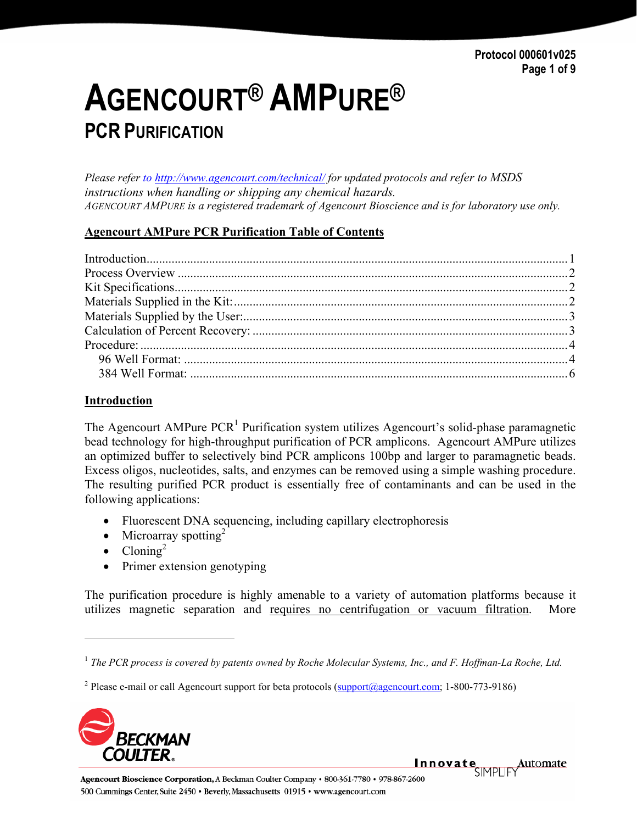# **AGENCOURT® AMPURE® PCR PURIFICATION**

*Please refer to http://www.agencourt.com/technical/ for updated protocols and refer to MSDS instructions when handling or shipping any chemical hazards. AGENCOURT AMPURE is a registered trademark of Agencourt Bioscience and is for laboratory use only.* 

#### **Agencourt AMPure PCR Purification Table of Contents**

| Introduction 1 |  |
|----------------|--|
|                |  |
|                |  |
|                |  |
|                |  |
|                |  |
|                |  |
|                |  |
|                |  |

#### **Introduction**

The Agencourt AMPure  $PCR<sup>1</sup>$  Purification system utilizes Agencourt's solid-phase paramagnetic bead technology for high-throughput purification of PCR amplicons. Agencourt AMPure utilizes an optimized buffer to selectively bind PCR amplicons 100bp and larger to paramagnetic beads. Excess oligos, nucleotides, salts, and enzymes can be removed using a simple washing procedure. The resulting purified PCR product is essentially free of contaminants and can be used in the following applications:

- Fluorescent DNA sequencing, including capillary electrophoresis
- Microarray spotting<sup>2</sup>
- $Cloning<sup>2</sup>$

1

• Primer extension genotyping

The purification procedure is highly amenable to a variety of automation platforms because it utilizes magnetic separation and requires no centrifugation or vacuum filtration. More

<sup>&</sup>lt;sup>2</sup> Please e-mail or call Agencourt support for beta protocols ( $\frac{\text{support}(a\text{agencourt.com}}{\text{agencourt.com}}$ ; 1-800-773-9186)



Agencourt Bioscience Corporation, A Beckman Coulter Company · 800-361-7780 · 978-867-2600 500 Cummings Center, Suite 2450 · Beverly, Massachusetts 01915 · www.agencourt.com

Innovate Automate

<sup>&</sup>lt;sup>1</sup> The PCR process is covered by patents owned by Roche Molecular Systems, Inc., and F. Hoffman-La Roche, Ltd.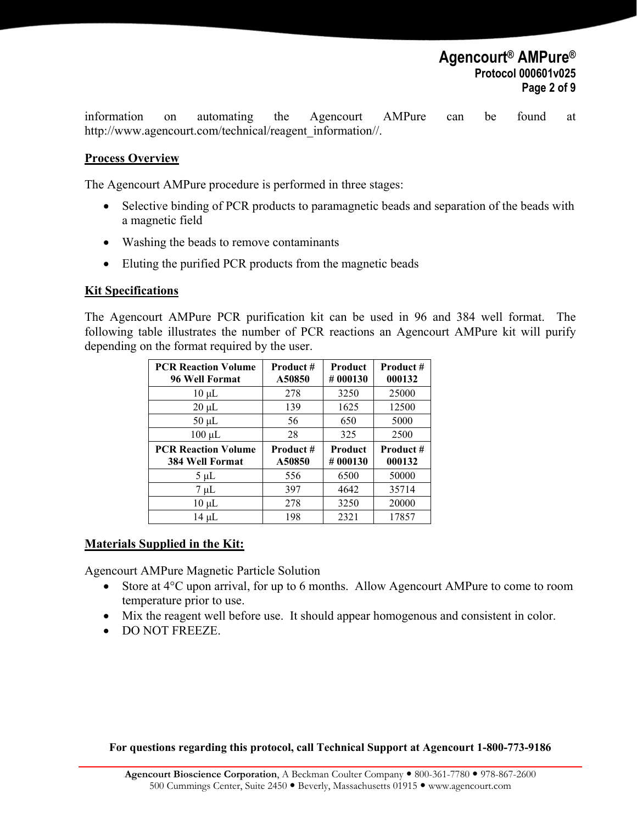information on automating the Agencourt AMPure can be found at http://www.agencourt.com/technical/reagent\_information//.

#### **Process Overview**

The Agencourt AMPure procedure is performed in three stages:

- Selective binding of PCR products to paramagnetic beads and separation of the beads with a magnetic field
- Washing the beads to remove contaminants
- Eluting the purified PCR products from the magnetic beads

#### **Kit Specifications**

The Agencourt AMPure PCR purification kit can be used in 96 and 384 well format. The following table illustrates the number of PCR reactions an Agencourt AMPure kit will purify depending on the format required by the user.

| <b>PCR Reaction Volume</b><br>96 Well Format         | Product #<br>A50850 | <b>Product</b><br>#000130 | Product#<br>000132 |
|------------------------------------------------------|---------------------|---------------------------|--------------------|
| $10 \mu L$                                           | 278                 | 3250                      | 25000              |
| $20 \mu L$                                           | 139                 | 1625                      | 12500              |
| $50 \mu L$                                           | 56                  | 650                       | 5000               |
| $100 \mu L$                                          | 28                  | 325                       | 2500               |
|                                                      |                     |                           |                    |
| <b>PCR Reaction Volume</b><br><b>384 Well Format</b> | Product #<br>A50850 | <b>Product</b><br>#000130 | Product#<br>000132 |
| $5 \mu L$                                            | 556                 | 6500                      | 50000              |
| $7 \mu L$                                            | 397                 | 4642                      | 35714              |
| $10 \mu L$                                           | 278                 | 3250                      | 20000              |

#### **Materials Supplied in the Kit:**

Agencourt AMPure Magnetic Particle Solution

- Store at 4<sup>o</sup>C upon arrival, for up to 6 months. Allow Agencourt AMPure to come to room temperature prior to use.
- Mix the reagent well before use. It should appear homogenous and consistent in color.
- DO NOT FREEZE.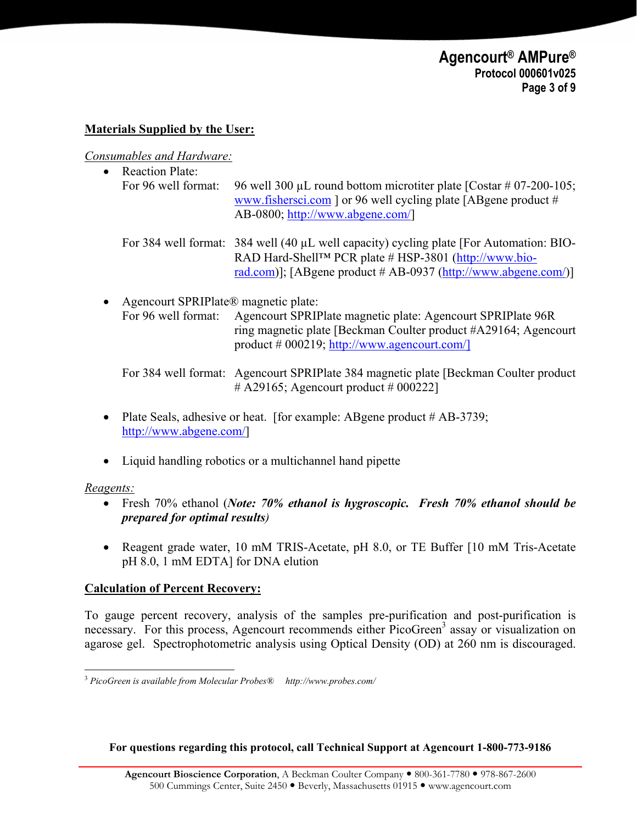#### **Materials Supplied by the User:**

*Consumables and Hardware:*

• Reaction Plate: For 96 well format: 96 well 300  $\mu$ L round bottom microtiter plate [Costar # 07-200-105; www.fishersci.com ] or 96 well cycling plate [ABgene product # AB-0800; http://www.abgene.com/]

For 384 well format: 384 well (40 µL well capacity) cycling plate [For Automation: BIO-RAD Hard-Shell™ PCR plate # HSP-3801 (http://www.biorad.com)]; [ABgene product # AB-0937 (http://www.abgene.com/)]

• Agencourt SPRIPlate® magnetic plate: For 96 well format: Agencourt SPRIPlate magnetic plate: Agencourt SPRIPlate 96R ring magnetic plate [Beckman Coulter product #A29164; Agencourt product # 000219; http://www.agencourt.com/]

For 384 well format: Agencourt SPRIPlate 384 magnetic plate [Beckman Coulter product  $\#$  A29165; Agencourt product  $\#$  000222]

- Plate Seals, adhesive or heat. [for example: ABgene product # AB-3739: http://www.abgene.com/]
- Liquid handling robotics or a multichannel hand pipette

#### *Reagents:*

- Fresh 70% ethanol (*Note: 70% ethanol is hygroscopic. Fresh 70% ethanol should be prepared for optimal results)*
- Reagent grade water, 10 mM TRIS-Acetate, pH 8.0, or TE Buffer [10 mM Tris-Acetate pH 8.0, 1 mM EDTA] for DNA elution

#### **Calculation of Percent Recovery:**

To gauge percent recovery, analysis of the samples pre-purification and post-purification is necessary. For this process, Agencourt recommends either PicoGreen<sup>3</sup> assay or visualization on agarose gel. Spectrophotometric analysis using Optical Density (OD) at 260 nm is discouraged.

<sup>1</sup> <sup>3</sup> *PicoGreen is available from Molecular Probes® http://www.probes.com/*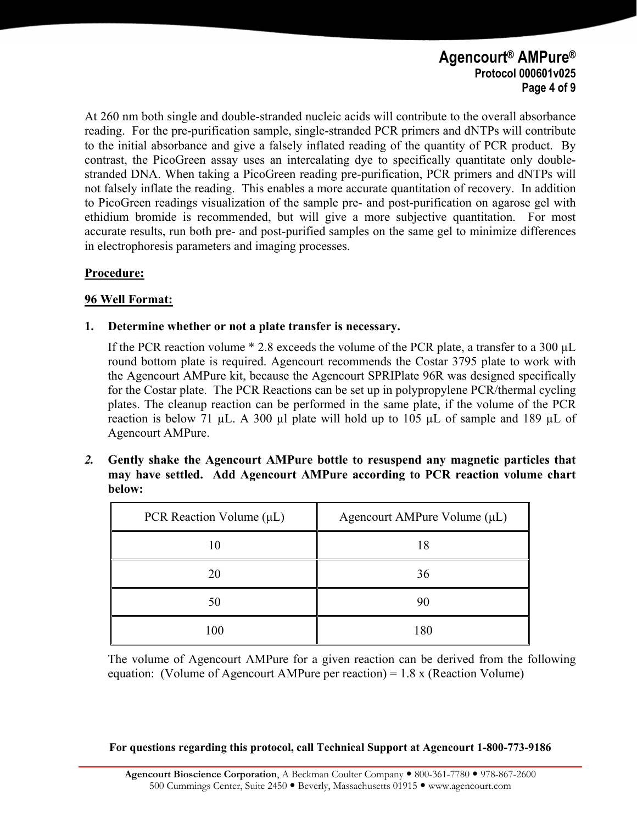## **Agencourt® AMPure® Protocol 000601v025 Page 4 of 9**

At 260 nm both single and double-stranded nucleic acids will contribute to the overall absorbance reading. For the pre-purification sample, single-stranded PCR primers and dNTPs will contribute to the initial absorbance and give a falsely inflated reading of the quantity of PCR product. By contrast, the PicoGreen assay uses an intercalating dye to specifically quantitate only doublestranded DNA. When taking a PicoGreen reading pre-purification, PCR primers and dNTPs will not falsely inflate the reading. This enables a more accurate quantitation of recovery. In addition to PicoGreen readings visualization of the sample pre- and post-purification on agarose gel with ethidium bromide is recommended, but will give a more subjective quantitation. For most accurate results, run both pre- and post-purified samples on the same gel to minimize differences in electrophoresis parameters and imaging processes.

#### **Procedure:**

#### **96 Well Format:**

#### **1. Determine whether or not a plate transfer is necessary.**

If the PCR reaction volume \* 2.8 exceeds the volume of the PCR plate, a transfer to a 300 µL round bottom plate is required. Agencourt recommends the Costar 3795 plate to work with the Agencourt AMPure kit, because the Agencourt SPRIPlate 96R was designed specifically for the Costar plate. The PCR Reactions can be set up in polypropylene PCR/thermal cycling plates. The cleanup reaction can be performed in the same plate, if the volume of the PCR reaction is below 71  $\mu$ L. A 300  $\mu$ l plate will hold up to 105  $\mu$ L of sample and 189  $\mu$ L of Agencourt AMPure.

*2.* **Gently shake the Agencourt AMPure bottle to resuspend any magnetic particles that may have settled. Add Agencourt AMPure according to PCR reaction volume chart below:**

| PCR Reaction Volume $(\mu L)$ | Agencourt AMPure Volume (µL) |
|-------------------------------|------------------------------|
| 10                            | 18                           |
| 20                            | 36                           |
| 50                            | 90                           |
| 100                           | 180                          |

The volume of Agencourt AMPure for a given reaction can be derived from the following equation: (Volume of Agencourt AMPure per reaction) = 1.8 x (Reaction Volume)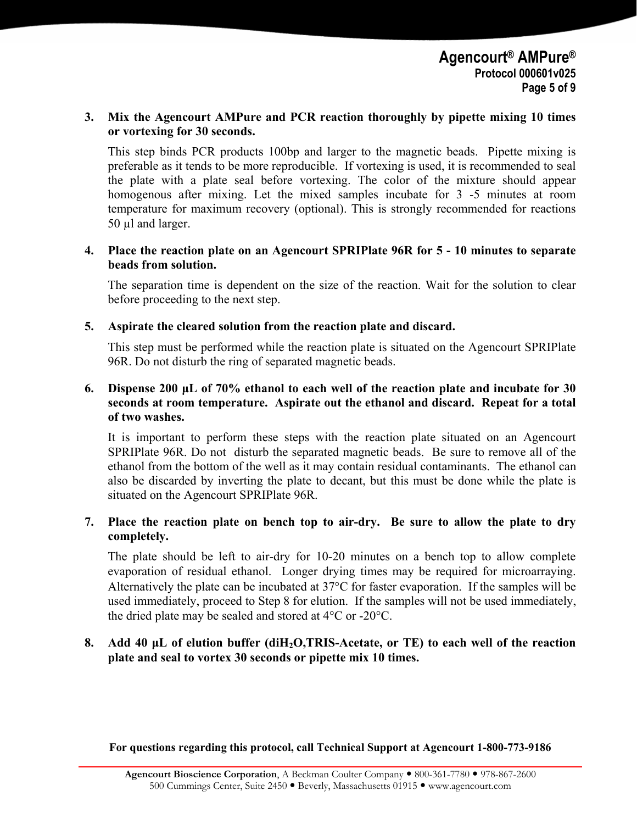#### **3. Mix the Agencourt AMPure and PCR reaction thoroughly by pipette mixing 10 times or vortexing for 30 seconds.**

This step binds PCR products 100bp and larger to the magnetic beads. Pipette mixing is preferable as it tends to be more reproducible. If vortexing is used, it is recommended to seal the plate with a plate seal before vortexing. The color of the mixture should appear homogenous after mixing. Let the mixed samples incubate for 3 -5 minutes at room temperature for maximum recovery (optional). This is strongly recommended for reactions 50 µl and larger.

#### **4. Place the reaction plate on an Agencourt SPRIPlate 96R for 5 - 10 minutes to separate beads from solution.**

The separation time is dependent on the size of the reaction. Wait for the solution to clear before proceeding to the next step.

**5. Aspirate the cleared solution from the reaction plate and discard.** 

This step must be performed while the reaction plate is situated on the Agencourt SPRIPlate 96R. Do not disturb the ring of separated magnetic beads.

#### **6. Dispense 200 µL of 70% ethanol to each well of the reaction plate and incubate for 30 seconds at room temperature. Aspirate out the ethanol and discard. Repeat for a total of two washes.**

It is important to perform these steps with the reaction plate situated on an Agencourt SPRIPlate 96R. Do not disturb the separated magnetic beads. Be sure to remove all of the ethanol from the bottom of the well as it may contain residual contaminants. The ethanol can also be discarded by inverting the plate to decant, but this must be done while the plate is situated on the Agencourt SPRIPlate 96R.

#### **7. Place the reaction plate on bench top to air-dry. Be sure to allow the plate to dry completely.**

The plate should be left to air-dry for 10-20 minutes on a bench top to allow complete evaporation of residual ethanol. Longer drying times may be required for microarraying. Alternatively the plate can be incubated at 37°C for faster evaporation. If the samples will be used immediately, proceed to Step 8 for elution. If the samples will not be used immediately, the dried plate may be sealed and stored at 4°C or -20°C.

#### **8. Add 40 µL of elution buffer (diH2O,TRIS-Acetate, or TE) to each well of the reaction plate and seal to vortex 30 seconds or pipette mix 10 times.**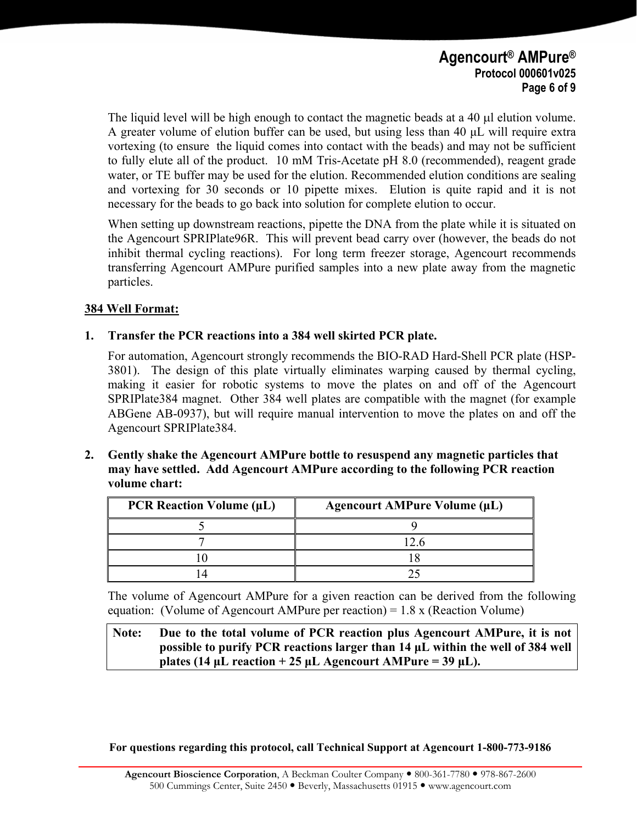The liquid level will be high enough to contact the magnetic beads at a 40  $\mu$ l elution volume. A greater volume of elution buffer can be used, but using less than 40 µL will require extra vortexing (to ensure the liquid comes into contact with the beads) and may not be sufficient to fully elute all of the product. 10 mM Tris-Acetate pH 8.0 (recommended), reagent grade water, or TE buffer may be used for the elution. Recommended elution conditions are sealing and vortexing for 30 seconds or 10 pipette mixes. Elution is quite rapid and it is not necessary for the beads to go back into solution for complete elution to occur.

When setting up downstream reactions, pipette the DNA from the plate while it is situated on the Agencourt SPRIPlate96R. This will prevent bead carry over (however, the beads do not inhibit thermal cycling reactions). For long term freezer storage, Agencourt recommends transferring Agencourt AMPure purified samples into a new plate away from the magnetic particles.

#### **384 Well Format:**

#### **1. Transfer the PCR reactions into a 384 well skirted PCR plate.**

For automation, Agencourt strongly recommends the BIO-RAD Hard-Shell PCR plate (HSP-3801). The design of this plate virtually eliminates warping caused by thermal cycling, making it easier for robotic systems to move the plates on and off of the Agencourt SPRIPlate384 magnet. Other 384 well plates are compatible with the magnet (for example ABGene AB-0937), but will require manual intervention to move the plates on and off the Agencourt SPRIPlate384.

**2. Gently shake the Agencourt AMPure bottle to resuspend any magnetic particles that may have settled. Add Agencourt AMPure according to the following PCR reaction volume chart:** 

| PCR Reaction Volume (µL) | <b>Agencourt AMPure Volume (µL)</b> |
|--------------------------|-------------------------------------|
|                          |                                     |
|                          |                                     |
|                          |                                     |
|                          |                                     |

The volume of Agencourt AMPure for a given reaction can be derived from the following equation: (Volume of Agencourt AMPure per reaction) = 1.8 x (Reaction Volume)

**Note: Due to the total volume of PCR reaction plus Agencourt AMPure, it is not possible to purify PCR reactions larger than 14 µL within the well of 384 well plates (14 µL reaction + 25 µL Agencourt AMPure = 39 µL).**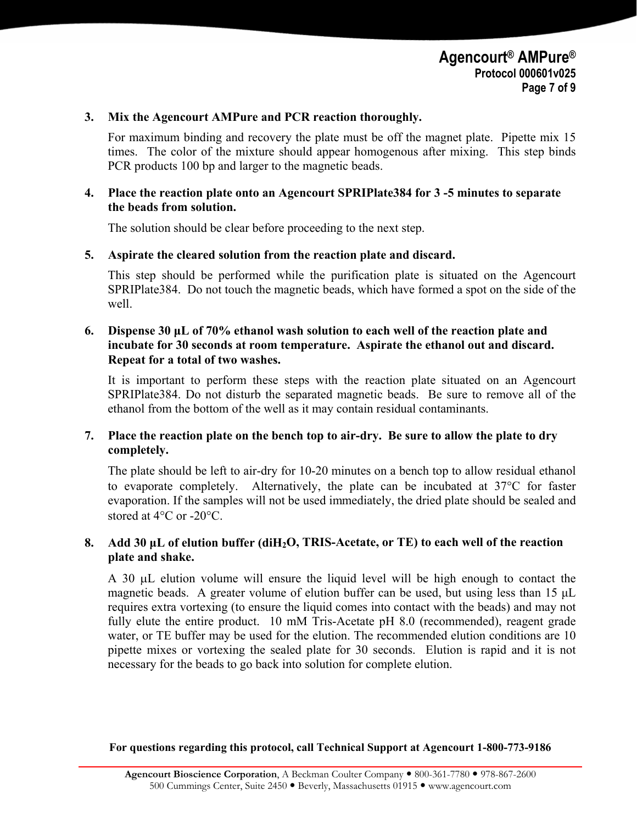#### **3. Mix the Agencourt AMPure and PCR reaction thoroughly.**

For maximum binding and recovery the plate must be off the magnet plate. Pipette mix 15 times. The color of the mixture should appear homogenous after mixing. This step binds PCR products 100 bp and larger to the magnetic beads.

#### **4. Place the reaction plate onto an Agencourt SPRIPlate384 for 3 -5 minutes to separate the beads from solution.**

The solution should be clear before proceeding to the next step.

#### **5. Aspirate the cleared solution from the reaction plate and discard.**

This step should be performed while the purification plate is situated on the Agencourt SPRIPlate384. Do not touch the magnetic beads, which have formed a spot on the side of the well.

#### **6. Dispense 30 µL of 70% ethanol wash solution to each well of the reaction plate and incubate for 30 seconds at room temperature. Aspirate the ethanol out and discard. Repeat for a total of two washes.**

It is important to perform these steps with the reaction plate situated on an Agencourt SPRIPlate384. Do not disturb the separated magnetic beads. Be sure to remove all of the ethanol from the bottom of the well as it may contain residual contaminants.

#### **7. Place the reaction plate on the bench top to air-dry. Be sure to allow the plate to dry completely.**

The plate should be left to air-dry for 10-20 minutes on a bench top to allow residual ethanol to evaporate completely. Alternatively, the plate can be incubated at 37°C for faster evaporation. If the samples will not be used immediately, the dried plate should be sealed and stored at 4°C or -20°C.

#### **8. Add 30 µL of elution buffer (diH2O, TRIS-Acetate, or TE) to each well of the reaction plate and shake.**

A 30 µL elution volume will ensure the liquid level will be high enough to contact the magnetic beads. A greater volume of elution buffer can be used, but using less than 15 µL requires extra vortexing (to ensure the liquid comes into contact with the beads) and may not fully elute the entire product. 10 mM Tris-Acetate pH 8.0 (recommended), reagent grade water, or TE buffer may be used for the elution. The recommended elution conditions are 10 pipette mixes or vortexing the sealed plate for 30 seconds. Elution is rapid and it is not necessary for the beads to go back into solution for complete elution.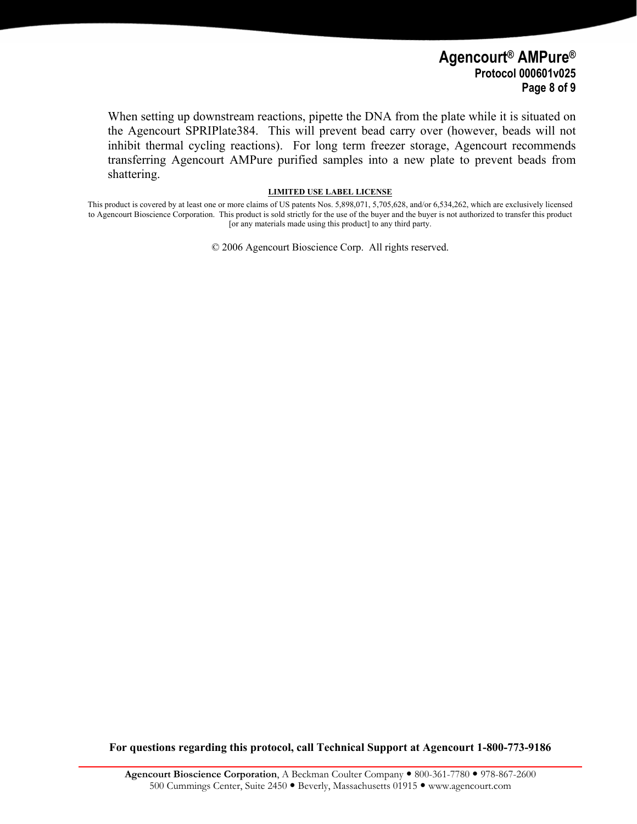#### **Agencourt® AMPure® Protocol 000601v025 Page 8 of 9**

When setting up downstream reactions, pipette the DNA from the plate while it is situated on the Agencourt SPRIPlate384. This will prevent bead carry over (however, beads will not inhibit thermal cycling reactions). For long term freezer storage, Agencourt recommends transferring Agencourt AMPure purified samples into a new plate to prevent beads from shattering.

#### **LIMITED USE LABEL LICENSE**

This product is covered by at least one or more claims of US patents Nos. 5,898,071, 5,705,628, and/or 6,534,262, which are exclusively licensed to Agencourt Bioscience Corporation. This product is sold strictly for the use of the buyer and the buyer is not authorized to transfer this product [or any materials made using this product] to any third party.

© 2006 Agencourt Bioscience Corp. All rights reserved.